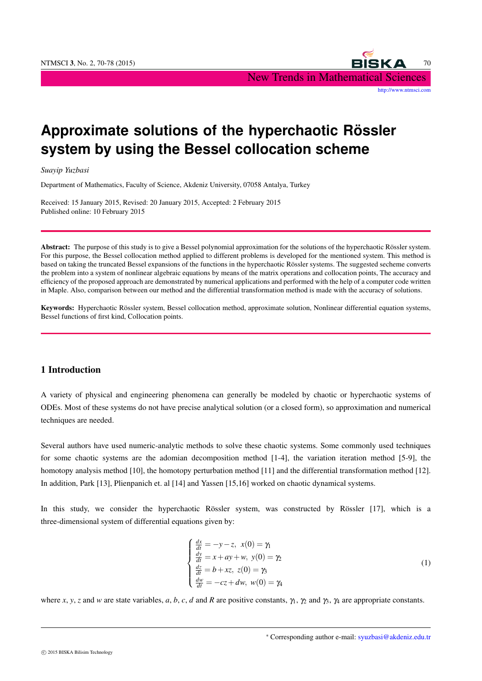

# **Approximate solutions of the hyperchaotic Rössler system by using the Bessel collocation scheme**

*Suayip Yuzbasi*

Department of Mathematics, Faculty of Science, Akdeniz University, 07058 Antalya, Turkey

Received: 15 January 2015, Revised: 20 January 2015, Accepted: 2 February 2015 Published online: 10 February 2015

Abstract: The purpose of this study is to give a Bessel polynomial approximation for the solutions of the hyperchaotic Rössler system. For this purpose, the Bessel collocation method applied to different problems is developed for the mentioned system. This method is based on taking the truncated Bessel expansions of the functions in the hyperchaotic Rössler systems. The suggested secheme converts the problem into a system of nonlinear algebraic equations by means of the matrix operations and collocation points, The accuracy and efficiency of the proposed approach are demonstrated by numerical applications and performed with the help of a computer code written in Maple. Also, comparison between our method and the differential transformation method is made with the accuracy of solutions.

Keywords: Hyperchaotic Rössler system, Bessel collocation method, approximate solution, Nonlinear differential equation systems, Bessel functions of first kind, Collocation points.

## 1 Introduction

A variety of physical and engineering phenomena can generally be modeled by chaotic or hyperchaotic systems of ODEs. Most of these systems do not have precise analytical solution (or a closed form), so approximation and numerical techniques are needed.

Several authors have used numeric-analytic methods to solve these chaotic systems. Some commonly used techniques for some chaotic systems are the adomian decomposition method [1-4], the variation iteration method [5-9], the homotopy analysis method [10], the homotopy perturbation method [11] and the differential transformation method [12]. In addition, Park [13], Plienpanich et. al [14] and Yassen [15,16] worked on chaotic dynamical systems.

In this study, we consider the hyperchaotic Rössler system, was constructed by Rössler [17], which is a three-dimensional system of differential equations given by:

$$
\begin{cases}\n\frac{dx}{dt} = -y - z, \ x(0) = \gamma_1 \\
\frac{dy}{dt} = x + ay + w, \ y(0) = \gamma_2 \\
\frac{dz}{dt} = b + xz, \ z(0) = \gamma_3 \\
\frac{dw}{dt} = -cz + dw, \ w(0) = \gamma_4\n\end{cases}
$$
\n(1)

where *x*, *y*, *z* and *w* are state variables, *a*, *b*, *c*, *d* and *R* are positive constants, γ<sub>1</sub>, γ<sub>2</sub> and γ<sub>3</sub>, γ<sub>4</sub> are appropriate constants.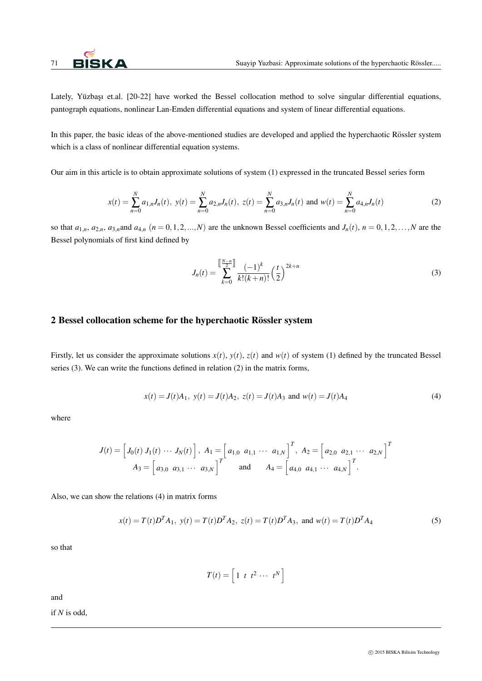

Lately, Yüzbası et.al. [20-22] have worked the Bessel collocation method to solve singular differential equations, pantograph equations, nonlinear Lan-Emden differential equations and system of linear differential equations.

In this paper, the basic ideas of the above-mentioned studies are developed and applied the hyperchaotic Rössler system which is a class of nonlinear differential equation systems.

Our aim in this article is to obtain approximate solutions of system (1) expressed in the truncated Bessel series form

$$
x(t) = \sum_{n=0}^{N} a_{1,n} J_n(t), \ y(t) = \sum_{n=0}^{N} a_{2,n} J_n(t), \ z(t) = \sum_{n=0}^{N} a_{3,n} J_n(t) \text{ and } w(t) = \sum_{n=0}^{N} a_{4,n} J_n(t)
$$
 (2)

so that  $a_{1,n}$ ,  $a_{2,n}$ ,  $a_{3,n}$  and  $a_{4,n}$  ( $n = 0, 1, 2, ..., N$ ) are the unknown Bessel coefficients and  $J_n(t)$ ,  $n = 0, 1, 2, ..., N$  are the Bessel polynomials of first kind defined by

$$
J_n(t) = \sum_{k=0}^{\left[\frac{N-n}{2}\right]} \frac{(-1)^k}{k!(k+n)!} \left(\frac{t}{2}\right)^{2k+n} \tag{3}
$$

## 2 Bessel collocation scheme for the hyperchaotic Rössler system

Firstly, let us consider the approximate solutions  $x(t)$ ,  $y(t)$ ,  $z(t)$  and  $w(t)$  of system (1) defined by the truncated Bessel series (3). We can write the functions defined in relation (2) in the matrix forms,

$$
x(t) = J(t)A_1, y(t) = J(t)A_2, z(t) = J(t)A_3 \text{ and } w(t) = J(t)A_4
$$
 (4)

where

$$
J(t) = \begin{bmatrix} J_0(t) & J_1(t) & \cdots & J_N(t) \end{bmatrix}, A_1 = \begin{bmatrix} a_{1,0} & a_{1,1} & \cdots & a_{1,N} \end{bmatrix}^T, A_2 = \begin{bmatrix} a_{2,0} & a_{2,1} & \cdots & a_{2,N} \end{bmatrix}^T
$$
  

$$
A_3 = \begin{bmatrix} a_{3,0} & a_{3,1} & \cdots & a_{3,N} \end{bmatrix}^T \text{ and } A_4 = \begin{bmatrix} a_{4,0} & a_{4,1} & \cdots & a_{4,N} \end{bmatrix}^T.
$$

Also, we can show the relations (4) in matrix forms

$$
x(t) = T(t)D^{T}A_{1}
$$
,  $y(t) = T(t)D^{T}A_{2}$ ,  $z(t) = T(t)D^{T}A_{3}$ , and  $w(t) = T(t)D^{T}A_{4}$  (5)

so that

$$
T(t) = \left[1 \ t \ t^2 \ \cdots \ t^N\right]
$$

and

if *N* is odd,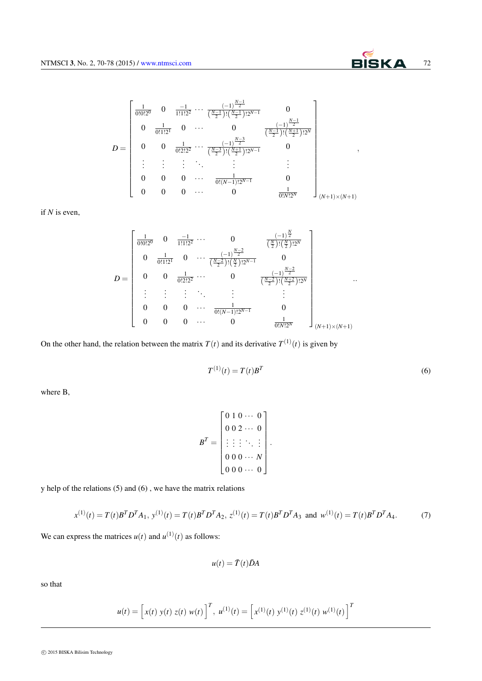$$
D = \begin{bmatrix} \frac{1}{0!0!2^{0}} & 0 & \frac{-1}{1!1!2^{2}} & \cdots & \frac{(-1)^{\frac{N-1}{2}}}{(\frac{N-1}{2})! (\frac{N-1}{2})!2^{N-1}} & 0 \\ 0 & \frac{1}{0!1!2^{1}} & 0 & \cdots & 0 & \frac{(-1)^{\frac{N-1}{2}}}{(\frac{N-1}{2})! (\frac{N+1}{2})!2^{N}} \\ 0 & 0 & \frac{1}{0!2!2^{2}} & \cdots & \frac{(-1)^{\frac{N-3}{2}}}{(\frac{N-3}{2})! (\frac{N+1}{2})!2^{N-1}} & 0 \\ \vdots & \vdots & \vdots & \ddots & \vdots & \vdots \\ 0 & 0 & 0 & \cdots & \frac{1}{0! (N-1)!2^{N-1}} & 0 \\ 0 & 0 & 0 & \cdots & 0 & \frac{1}{0! N!2^{N}} & 0 \end{bmatrix}_{(N+1)\times (N+1)}
$$

if *N* is even,

$$
D = \begin{bmatrix} \frac{1}{0!0!2^{0}} & 0 & \frac{-1}{1!1!2^{2}} & \cdots & 0 & \frac{(-1)^{\frac{N}{2}}}{(\frac{N}{2})! (\frac{N}{2})!2^{N}} \\ 0 & \frac{1}{0!1!2^{1}} & 0 & \cdots & \frac{(-1)^{\frac{N-2}{2}}}{(\frac{N-2}{2})! (\frac{N}{2})!2^{N-1}} & 0 \\ 0 & 0 & \frac{1}{0!2!2^{2}} & \cdots & 0 & \frac{(-1)^{\frac{N-2}{2}}}{(\frac{N-2}{2})! (\frac{N+2}{2})!2^{N}} \\ \vdots & \vdots & \vdots & \ddots & \vdots & \vdots \\ 0 & 0 & 0 & \cdots & \frac{1}{0!(N-1)!2^{N-1}} & 0 \\ 0 & 0 & 0 & \cdots & 0 & \frac{1}{0!N!2^{N}} \end{bmatrix} \quad \dots
$$

On the other hand, the relation between the matrix  $T(t)$  and its derivative  $T^{(1)}(t)$  is given by

$$
T^{(1)}(t) = T(t)B^T
$$
\n<sup>(6)</sup>

where B,

$$
BT = \begin{bmatrix} 0 & 1 & 0 & \cdots & 0 \\ 0 & 0 & 2 & \cdots & 0 \\ \vdots & \vdots & \vdots & \ddots & \vdots \\ 0 & 0 & 0 & \cdots & N \\ 0 & 0 & 0 & \cdots & 0 \end{bmatrix}.
$$

y help of the relations (5) and (6) , we have the matrix relations

$$
x^{(1)}(t) = T(t)BTDTA1, y^{(1)}(t) = T(t)BTDTA2, z^{(1)}(t) = T(t)BTDTA3 and w^{(1)}(t) = T(t)BTDTA4.
$$
 (7)

We can express the matrices  $u(t)$  and  $u^{(1)}(t)$  as follows:

$$
u(t) = \bar{T}(t)\bar{D}A
$$

so that

$$
u(t) = \left[x(t) y(t) z(t) w(t)\right]^T, u^{(1)}(t) = \left[x^{(1)}(t) y^{(1)}(t) z^{(1)}(t) w^{(1)}(t)\right]^T
$$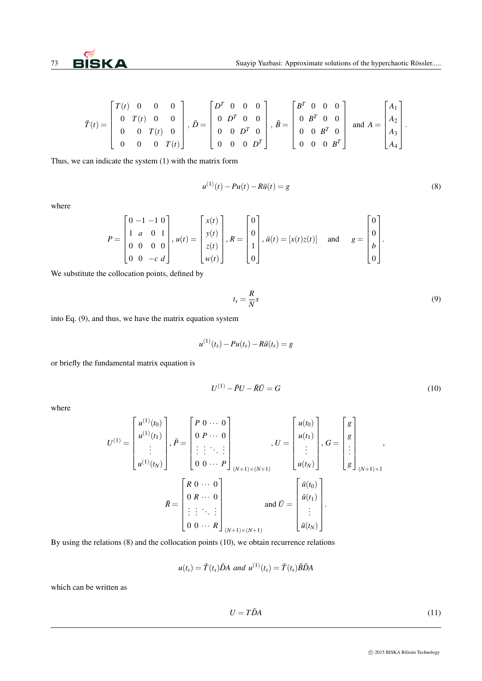

*.*

.

$$
\bar{T}(t) = \begin{bmatrix} T(t) & 0 & 0 & 0 \\ 0 & T(t) & 0 & 0 \\ 0 & 0 & T(t) & 0 \\ 0 & 0 & 0 & T(t) \end{bmatrix}, \quad \bar{D} = \begin{bmatrix} D^T & 0 & 0 & 0 \\ 0 & D^T & 0 & 0 \\ 0 & 0 & D^T & 0 \\ 0 & 0 & 0 & D^T \end{bmatrix}, \quad \bar{B} = \begin{bmatrix} B^T & 0 & 0 & 0 \\ 0 & B^T & 0 & 0 \\ 0 & 0 & B^T & 0 \\ 0 & 0 & 0 & B^T \end{bmatrix} \text{ and } A = \begin{bmatrix} A_1 \\ A_2 \\ A_3 \\ A_4 \end{bmatrix}
$$

Thus, we can indicate the system (1) with the matrix form

$$
u^{(1)}(t) - Pu(t) - R\bar{u}(t) = g
$$
\n(8)

where

$$
P = \begin{bmatrix} 0 & -1 & -1 & 0 \\ 1 & a & 0 & 1 \\ 0 & 0 & 0 & 0 \\ 0 & 0 & -c & d \end{bmatrix}, u(t) = \begin{bmatrix} x(t) \\ y(t) \\ z(t) \\ w(t) \end{bmatrix}, R = \begin{bmatrix} 0 \\ 0 \\ 1 \\ 0 \end{bmatrix}, \bar{u}(t) = [x(t)z(t)] \text{ and } g = \begin{bmatrix} 0 \\ 0 \\ b \\ 0 \end{bmatrix}
$$

We substitute the collocation points, defined by

$$
t_s = \frac{R}{N}s\tag{9}
$$

into Eq. (9), and thus, we have the matrix equation system

$$
u^{(1)}(t_s) - Pu(t_s) - R\bar{u}(t_s) = g
$$

or briefly the fundamental matrix equation is

$$
U^{(1)} - \bar{P}U - \bar{R}\bar{U} = G\tag{10}
$$

where

$$
U^{(1)} = \begin{bmatrix} u^{(1)}(t_0) \\ u^{(1)}(t_1) \\ \vdots \\ u^{(1)}(t_N) \end{bmatrix}, \bar{P} = \begin{bmatrix} P & 0 & \cdots & 0 \\ 0 & P & \cdots & 0 \\ \vdots & \vdots & \ddots & \vdots \\ 0 & 0 & \cdots & P \end{bmatrix}_{(N+1)\times(N+1)}, U = \begin{bmatrix} u(t_0) \\ u(t_1) \\ \vdots \\ u(t_N) \end{bmatrix}, G = \begin{bmatrix} g \\ g \\ \vdots \\ g \end{bmatrix}_{(N+1)\times 1},
$$
  

$$
\bar{R} = \begin{bmatrix} R & 0 & \cdots & 0 \\ 0 & R & \cdots & 0 \\ \vdots & \vdots & \ddots & \vdots \\ 0 & 0 & \cdots & R \end{bmatrix}_{(N+1)\times(N+1)},
$$
and  $\bar{U} = \begin{bmatrix} \bar{u}(t_0) \\ \bar{u}(t_1) \\ \vdots \\ \bar{u}(t_N) \end{bmatrix}.$ 

 $\mathbf{r}$ 

By using the relations (8) and the collocation points (10), we obtain recurrence relations

$$
u(t_s) = \overline{T}(t_s)\overline{D}A \text{ and } u^{(1)}(t_s) = \overline{T}(t_s)\overline{B}\overline{D}A
$$

which can be written as

$$
U = T\bar{D}A\tag{11}
$$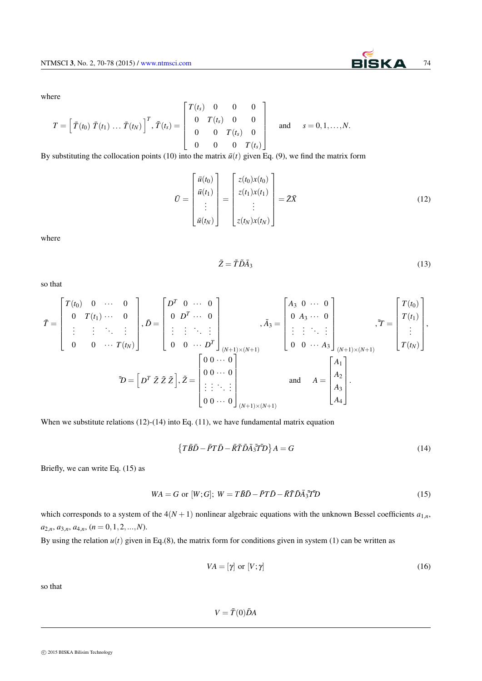where

$$
T = \left[\ \bar{T}(t_0) \ \bar{T}(t_1) \ \ldots \ \bar{T}(t_N)\right]^T, \ \bar{T}(t_s) = \left[\begin{array}{cccc} T(t_s) & 0 & 0 & 0 \\ 0 & T(t_s) & 0 & 0 \\ 0 & 0 & T(t_s) & 0 \\ 0 & 0 & 0 & T(t_s) \end{array}\right] \quad \text{and} \quad s = 0, 1, \ldots, N.
$$

By substituting the collocation points (10) into the matrix  $\bar{u}(t)$  given Eq. (9), we find the matrix form

$$
\bar{U} = \begin{bmatrix} \bar{u}(t_0) \\ \bar{u}(t_1) \\ \vdots \\ \bar{u}(t_N) \end{bmatrix} = \begin{bmatrix} z(t_0)x(t_0) \\ z(t_1)x(t_1) \\ \vdots \\ z(t_N)x(t_N) \end{bmatrix} = \bar{Z}\bar{X}
$$
(12)

where

$$
\bar{Z} = \tilde{T}\tilde{D}\bar{A}_3\tag{13}
$$

so that

$$
\tilde{T} = \begin{bmatrix} T(t_0) & 0 & \cdots & 0 \\ 0 & T(t_1) & \cdots & 0 \\ \vdots & \vdots & \ddots & \vdots \\ 0 & 0 & \cdots & T(t_N) \end{bmatrix}, \tilde{D} = \begin{bmatrix} D^T & 0 & \cdots & 0 \\ 0 & D^T & \cdots & 0 \\ \vdots & \vdots & \ddots & \vdots \\ 0 & 0 & \cdots & D^T \end{bmatrix}, \tilde{A} = \begin{bmatrix} A_3 & 0 & \cdots & 0 \\ 0 & A_3 & \cdots & 0 \\ \vdots & \vdots & \ddots & \vdots \\ 0 & 0 & \cdots & A_3 \end{bmatrix}, \tilde{T} = \begin{bmatrix} T(t_0) \\ T(t_1) \\ \vdots \\ T(t_N) \end{bmatrix},
$$

$$
\tilde{D} = \begin{bmatrix} D^T & \tilde{Z} & \tilde{Z} \\ \end{bmatrix}, \tilde{Z} = \begin{bmatrix} 0 & 0 & \cdots & 0 \\ 0 & 0 & \cdots & 0 \\ \vdots & \vdots & \ddots & \vdots \\ 0 & 0 & \cdots & 0 \end{bmatrix} \text{ and } A = \begin{bmatrix} A_1 \\ A_2 \\ A_3 \\ A_4 \\ A_4 \end{bmatrix}.
$$

When we substitute relations (12)-(14) into Eq. (11), we have fundamental matrix equation

$$
\left\{T\bar{B}\bar{D}-\bar{P}T\bar{D}-\bar{R}\tilde{T}\tilde{D}\bar{A}\tilde{J}\tilde{T}\tilde{D}\right\}A=G
$$
\n(14)

Briefly, we can write Eq. (15) as

$$
WA = G \text{ or } [W;G]; \ W = T\overline{B}\overline{D} - \overline{P}T\overline{D} - \overline{R}\widetilde{T}\widetilde{D}\overline{A}_3\widetilde{T}\widetilde{T}\mathcal{D}
$$
\n
$$
\tag{15}
$$

which corresponds to a system of the  $4(N + 1)$  nonlinear algebraic equations with the unknown Bessel coefficients  $a_{1,n}$ ,  $a_{2,n}, a_{3,n}, a_{4,n}, (n = 0, 1, 2, \ldots, N).$ 

By using the relation  $u(t)$  given in Eq.(8), the matrix form for conditions given in system (1) can be written as

$$
VA = [\gamma] \text{ or } [V; \gamma] \tag{16}
$$

so that

 $V = \bar{T}(0)\bar{D}A$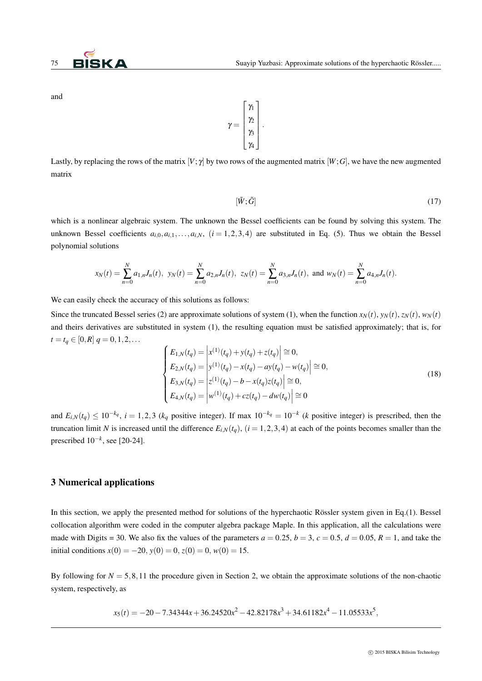and



Lastly, by replacing the rows of the matrix  $[V; \gamma]$  by two rows of the augmented matrix  $[W; G]$ , we have the new augmented matrix

$$
[\tilde{W}; \tilde{G}] \tag{17}
$$

which is a nonlinear algebraic system. The unknown the Bessel coefficients can be found by solving this system. The unknown Bessel coefficients  $a_{i,0}, a_{i,1}, \ldots, a_{i,N}$ ,  $(i = 1, 2, 3, 4)$  are substituted in Eq. (5). Thus we obtain the Bessel polynomial solutions

$$
x_N(t) = \sum_{n=0}^N a_{1,n} J_n(t), \ y_N(t) = \sum_{n=0}^N a_{2,n} J_n(t), \ z_N(t) = \sum_{n=0}^N a_{3,n} J_n(t), \text{ and } w_N(t) = \sum_{n=0}^N a_{4,n} J_n(t).
$$

We can easily check the accuracy of this solutions as follows:

Since the truncated Bessel series (2) are approximate solutions of system (1), when the function  $x_N(t)$ ,  $y_N(t)$ ,  $z_N(t)$ ,  $w_N(t)$ and theirs derivatives are substituted in system (1), the resulting equation must be satisfied approximately; that is, for  $t = t_q \in [0, R]$   $q = 0, 1, 2, \ldots$ 

$$
\begin{cases}\nE_{1,N}(t_q) = \left| x^{(1)}(t_q) + y(t_q) + z(t_q) \right| \approx 0, \\
E_{2,N}(t_q) = \left| y^{(1)}(t_q) - x(t_q) - ay(t_q) - w(t_q) \right| \approx 0, \\
E_{3,N}(t_q) = \left| z^{(1)}(t_q) - b - x(t_q)z(t_q) \right| \approx 0, \\
E_{4,N}(t_q) = \left| w^{(1)}(t_q) + cz(t_q) - dw(t_q) \right| \approx 0\n\end{cases}
$$
\n(18)

and  $E_{i,N}(t_q) \le 10^{-k_q}$ ,  $i = 1,2,3$  ( $k_q$  positive integer). If max  $10^{-k_q} = 10^{-k}$  (k positive integer) is prescribed, then the truncation limit *N* is increased until the difference  $E_{i,N}(t_q)$ ,  $(i = 1, 2, 3, 4)$  at each of the points becomes smaller than the prescribed 10*−<sup>k</sup>* , see [20-24].

#### 3 Numerical applications

In this section, we apply the presented method for solutions of the hyperchaotic Rössler system given in Eq.(1). Bessel collocation algorithm were coded in the computer algebra package Maple. In this application, all the calculations were made with Digits = 30. We also fix the values of the parameters  $a = 0.25$ ,  $b = 3$ ,  $c = 0.5$ ,  $d = 0.05$ ,  $R = 1$ , and take the initial conditions  $x(0) = -20$ ,  $y(0) = 0$ ,  $z(0) = 0$ ,  $w(0) = 15$ .

By following for  $N = 5,8,11$  the procedure given in Section 2, we obtain the approximate solutions of the non-chaotic system, respectively, as

*x*<sub>5</sub>(*t*) = −20−7*.*34344*x* + 36*.*24520*x*<sup>2</sup> − 42*.*82178*x*<sup>3</sup> + 34*.*61182*x*<sup>4</sup> − 11*.*05533*x*<sup>5</sup>,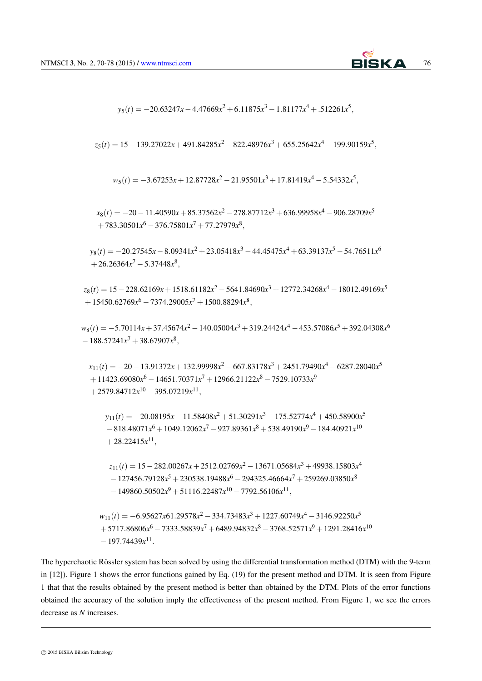

$$
y_5(t) = -20.63247x - 4.47669x^2 + 6.11875x^3 - 1.81177x^4 + .512261x^5,
$$

*z*5(*t*) = 15*−*139*.*27022*x*+491*.*84285*x* <sup>2</sup> *<sup>−</sup>*822*.*48976*<sup>x</sup>* <sup>3</sup> +655*.*25642*x* <sup>4</sup> *<sup>−</sup>*199*.*90159*<sup>x</sup>* 5 *,*

$$
w_5(t) = -3.67253x + 12.87728x^2 - 21.95501x^3 + 17.81419x^4 - 5.54332x^5,
$$

*x*8(*t*) = *−*20*−*11*.*40590*x*+85*.*37562*x* <sup>2</sup> *<sup>−</sup>*278*.*87712*<sup>x</sup>* <sup>3</sup> +636*.*99958*x* <sup>4</sup> *<sup>−</sup>*906*.*28709*<sup>x</sup>* 5 +783*.*30501*x* <sup>6</sup> *<sup>−</sup>*376*.*75801*<sup>x</sup>* <sup>7</sup> +77*.*27979*x* 8 *,*

*y*<sub>8</sub>(*t*) = −20*.*27545*x* − 8*.*09341*x*<sup>2</sup> + 23*.*05418*x*<sup>3</sup> − 44*.*45475*x*<sup>4</sup> + 63*.*39137*x*<sup>5</sup> − 54*.*76511*x*<sup>6</sup> +26*.*26364*x* <sup>7</sup> *<sup>−</sup>*5*.*37448*<sup>x</sup>* 8 *,*

*z*8(*t*) = 15*−*228*.*62169*x*+1518*.*61182*x* <sup>2</sup> *<sup>−</sup>*5641*.*84690*<sup>x</sup>* <sup>3</sup> +12772*.*34268*x* <sup>4</sup> *<sup>−</sup>*18012*.*49169*<sup>x</sup>* 5 +15450*.*62769*x* <sup>6</sup> *<sup>−</sup>*7374*.*29005*<sup>x</sup>* <sup>7</sup> +1500*.*88294*x* 8 *,*

*w*<sub>8</sub>(*t*) = −5*.*70114*x* + 37*.*45674*x*<sup>2</sup> − 140*.*05004*x*<sup>3</sup> + 319*.*24424*x*<sup>4</sup> − 453*.57086x*<sup>5</sup> + 392*.04308x*<sup>6</sup> *−*188*.*57241*x* <sup>7</sup> +38*.*67907*x* 8 *,*

*x*11(*t*) = *−*20*−*13*.*91372*x*+132*.*99998*x* <sup>2</sup> *<sup>−</sup>*667*.*83178*<sup>x</sup>* <sup>3</sup> +2451*.*79490*x* <sup>4</sup> *<sup>−</sup>*6287*.*28040*<sup>x</sup>* 5 +11423*.*69080*x* <sup>6</sup> *<sup>−</sup>*14651*.*70371*<sup>x</sup>* <sup>7</sup> +12966*.*21122*x* <sup>8</sup> *<sup>−</sup>*7529*.*10733*<sup>x</sup>* 9 +2579*.*84712*x* <sup>10</sup> *<sup>−</sup>*395*.*07219*<sup>x</sup>* 11 *,*

*y*11(*t*) = *−*20*.*08195*x−*11*.*58408*x* <sup>2</sup> +51*.*30291*x* <sup>3</sup> *<sup>−</sup>*175*.*52774*<sup>x</sup>* <sup>4</sup> +450*.*58900*x* 5  $-818.48071*x*<sup>6</sup> + 1049.12062*x*<sup>7</sup> − 927.89361*x*<sup>8</sup> + 538.49190*x*<sup>9</sup> − 184.40921*x*<sup>10</sup>$  $+28.22415x^{11}$ ,

*z*11(*t*) = 15*−*282*.*00267*x*+2512*.*02769*x* <sup>2</sup> *<sup>−</sup>*13671*.*05684*<sup>x</sup>* <sup>3</sup> +49938*.*15803*x* 4 *−*127456*.*79128*x* <sup>5</sup> +230538*.*19488*x* <sup>6</sup> *<sup>−</sup>*294325*.*46664*<sup>x</sup>* <sup>7</sup> +259269*.*03850*x* 8 *−*149860*.*50502*x* <sup>9</sup> +51116*.*22487*x* <sup>10</sup> *<sup>−</sup>*7792*.*56106*<sup>x</sup>* 11 *,*

*w*<sub>11</sub>(*t*) = −6*.*95627*x*61*.29578<i>x*<sup>2</sup> − 334*.73483x*<sup>3</sup> + 1227*.60749x*<sup>4</sup> − 3146*.92250x*<sup>5</sup> +5717*.*86806*x* <sup>6</sup> *<sup>−</sup>*7333*.*58839*<sup>x</sup>* <sup>7</sup> +6489*.*94832*x* <sup>8</sup> *<sup>−</sup>*3768*.*52571*<sup>x</sup>* <sup>9</sup> +1291*.*28416*x* 10 *−*197*.*74439*x* 11 *.*

The hyperchaotic Rössler system has been solved by using the differential transformation method (DTM) with the 9-term in [12]). Figure 1 shows the error functions gained by Eq. (19) for the present method and DTM. It is seen from Figure 1 that that the results obtained by the present method is better than obtained by the DTM. Plots of the error functions obtained the accuracy of the solution imply the effectiveness of the present method. From Figure 1, we see the errors decrease as *N* increases.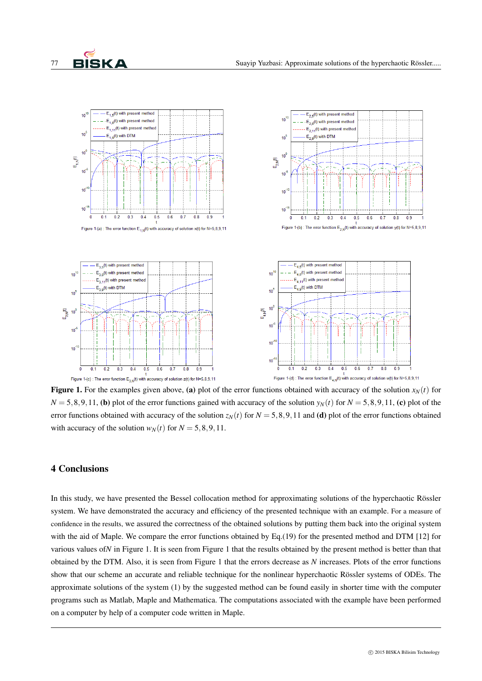

**Figure 1.** For the examples given above, (a) plot of the error functions obtained with accuracy of the solution  $x_N(t)$  for  $N = 5,8,9,11$ , (b) plot of the error functions gained with accuracy of the solution  $y<sub>N</sub>(t)$  for  $N = 5,8,9,11$ , (c) plot of the error functions obtained with accuracy of the solution  $z_N(t)$  for  $N = 5, 8, 9, 11$  and (d) plot of the error functions obtained with accuracy of the solution  $w_N(t)$  for  $N = 5, 8, 9, 11$ .

# 4 Conclusions

In this study, we have presented the Bessel collocation method for approximating solutions of the hyperchaotic Rössler system. We have demonstrated the accuracy and efficiency of the presented technique with an example. For a measure of confidence in the results, we assured the correctness of the obtained solutions by putting them back into the original system with the aid of Maple. We compare the error functions obtained by Eq.(19) for the presented method and DTM [12] for various values of*N* in Figure 1. It is seen from Figure 1 that the results obtained by the present method is better than that obtained by the DTM. Also, it is seen from Figure 1 that the errors decrease as *N* increases. Plots of the error functions show that our scheme an accurate and reliable technique for the nonlinear hyperchaotic Rössler systems of ODEs. The approximate solutions of the system (1) by the suggested method can be found easily in shorter time with the computer programs such as Matlab, Maple and Mathematica. The computations associated with the example have been performed on a computer by help of a computer code written in Maple.